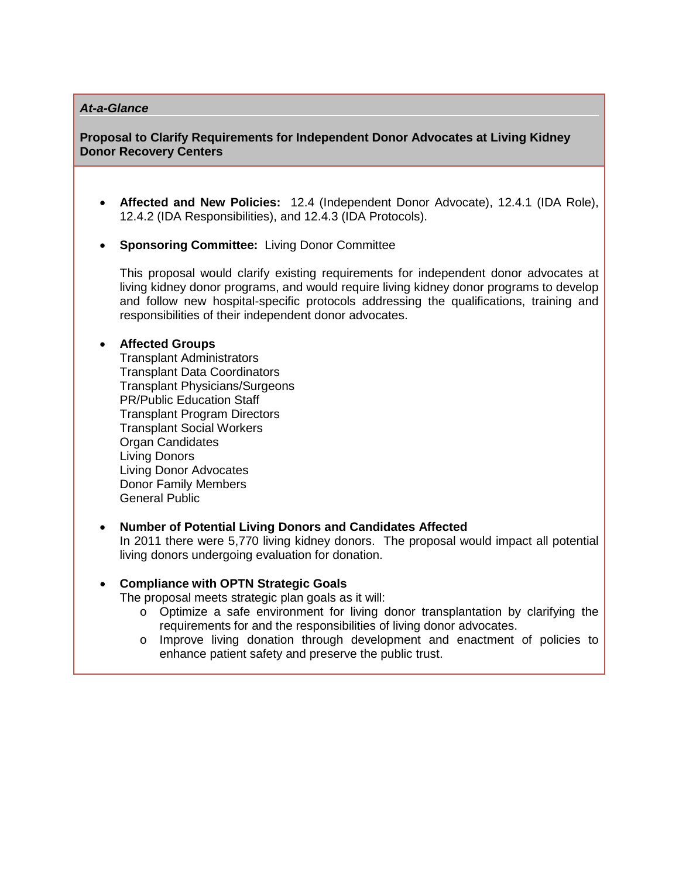### *At-a-Glance*

# **Proposal to Clarify Requ[irements for Independent](http://youtu.be/muHX4MoY1sI) Donor Advocates at Living Kidney Donor Recovery Centers**

- **Affected [and New Policies:](http://support.apple.com/downloads/#quicktime)** 12.4 (Independent Donor Advocate), 12.4.1 (IDA Role), 12.4.2 (IDA Responsibilities), and 12.4.3 (IDA Protocols).
- **Sponsoring Committee:** Living Donor Committee

This proposal would clarify existing requirements for independent donor advocates at living kidney donor programs, and would require living kidney donor programs to develop and follow new hospital-specific protocols addressing the qualifications, training and responsibilities of their independent donor advocates.

# • **Affected Groups**

Transplant Administrators Transplant Data Coordinators Transplant Physicians/Surgeons PR/Public Education Staff Transplant Program Directors Transplant Social Workers Organ Candidates Living Donors Living Donor Advocates Donor Family Members General Public

# • **Number of Potential Living Donors and Candidates Affected**

In 2011 there were 5,770 living kidney donors. The proposal would impact all potential living donors undergoing evaluation for donation.

# • **Compliance with OPTN Strategic Goals**

The proposal meets strategic plan goals as it will:

- $\circ$  Optimize a safe environment for living donor transplantation by clarifying the requirements for and the responsibilities of living donor advocates.
- o Improve living donation through development and enactment of policies to enhance patient safety and preserve the public trust.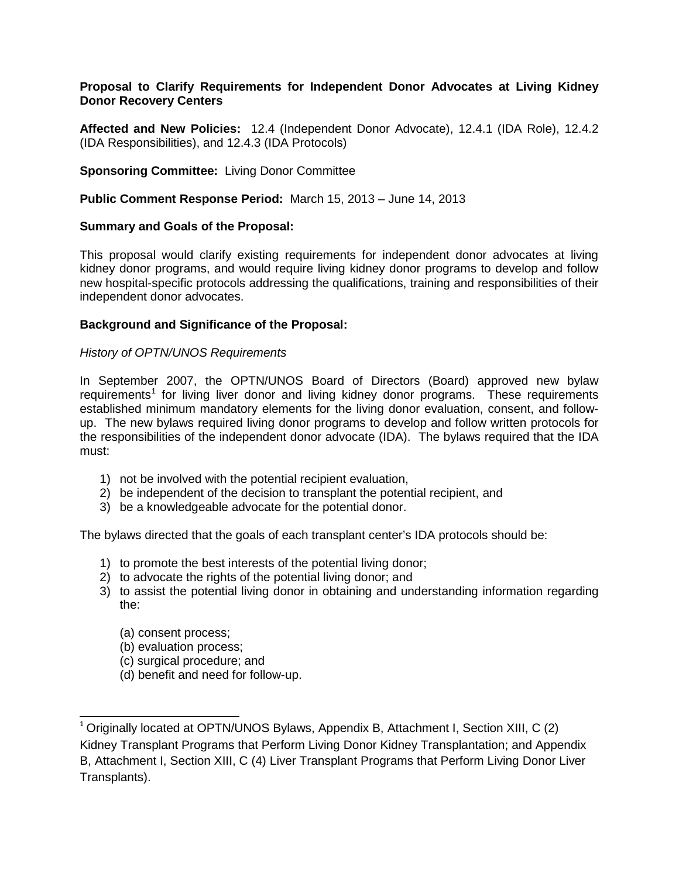## **Proposal to Clarify Requirements for Independent Donor Advocates at Living Kidney Donor Recovery Centers**

**Affected and New Policies:** 12.4 (Independent Donor Advocate), 12.4.1 (IDA Role), 12.4.2 (IDA Responsibilities), and 12.4.3 (IDA Protocols)

# **Sponsoring Committee:** Living Donor Committee

**Public Comment Response Period:** March 15, 2013 – June 14, 2013

## **Summary and Goals of the Proposal:**

This proposal would clarify existing requirements for independent donor advocates at living kidney donor programs, and would require living kidney donor programs to develop and follow new hospital-specific protocols addressing the qualifications, training and responsibilities of their independent donor advocates.

# **Background and Significance of the Proposal:**

## *History of OPTN/UNOS Requirements*

In September 2007, the OPTN/UNOS Board of Directors (Board) approved new bylaw requirements<sup>[1](#page-1-0)</sup> for living liver donor and living kidney donor programs. These requirements established minimum mandatory elements for the living donor evaluation, consent, and followup. The new bylaws required living donor programs to develop and follow written protocols for the responsibilities of the independent donor advocate (IDA). The bylaws required that the IDA must:

- 1) not be involved with the potential recipient evaluation,
- 2) be independent of the decision to transplant the potential recipient, and
- 3) be a knowledgeable advocate for the potential donor.

The bylaws directed that the goals of each transplant center's IDA protocols should be:

- 1) to promote the best interests of the potential living donor;
- 2) to advocate the rights of the potential living donor; and
- 3) to assist the potential living donor in obtaining and understanding information regarding the:
	- (a) consent process;

 $\overline{a}$ 

- (b) evaluation process;
- (c) surgical procedure; and
- (d) benefit and need for follow-up.

<span id="page-1-0"></span><sup>1</sup> Originally located at OPTN/UNOS Bylaws, Appendix B, Attachment I, Section XIII, C (2) Kidney Transplant Programs that Perform Living Donor Kidney Transplantation; and Appendix B, Attachment I, Section XIII, C (4) Liver Transplant Programs that Perform Living Donor Liver Transplants).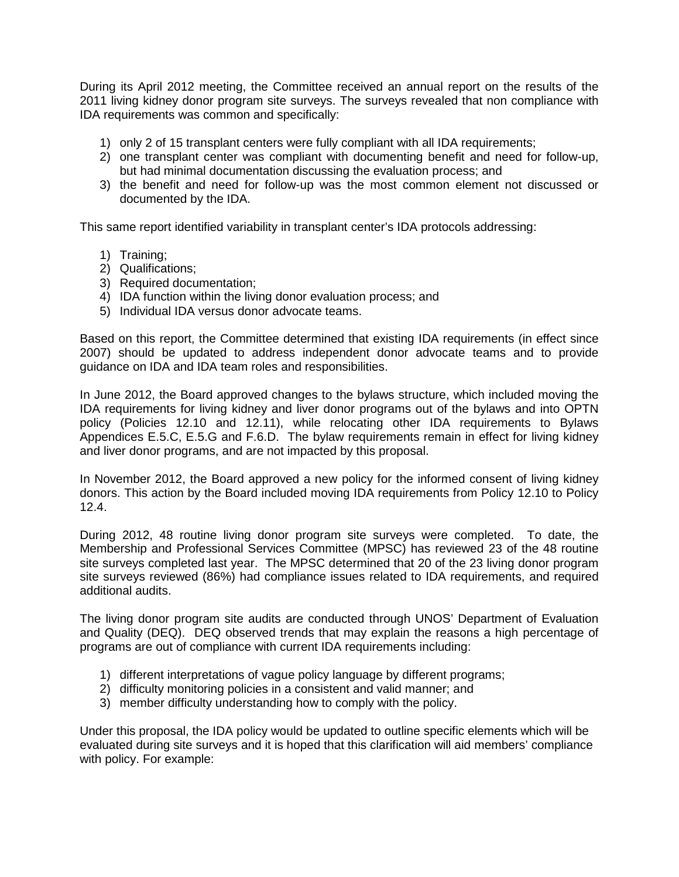During its April 2012 meeting, the Committee received an annual report on the results of the 2011 living kidney donor program site surveys. The surveys revealed that non compliance with IDA requirements was common and specifically:

- 1) only 2 of 15 transplant centers were fully compliant with all IDA requirements;
- 2) one transplant center was compliant with documenting benefit and need for follow-up, but had minimal documentation discussing the evaluation process; and
- 3) the benefit and need for follow-up was the most common element not discussed or documented by the IDA.

This same report identified variability in transplant center's IDA protocols addressing:

- 1) Training;
- 2) Qualifications;
- 3) Required documentation;
- 4) IDA function within the living donor evaluation process; and
- 5) Individual IDA versus donor advocate teams.

Based on this report, the Committee determined that existing IDA requirements (in effect since 2007) should be updated to address independent donor advocate teams and to provide guidance on IDA and IDA team roles and responsibilities.

In June 2012, the Board approved changes to the bylaws structure, which included moving the IDA requirements for living kidney and liver donor programs out of the bylaws and into OPTN policy (Policies 12.10 and 12.11), while relocating other IDA requirements to Bylaws Appendices E.5.C, E.5.G and F.6.D. The bylaw requirements remain in effect for living kidney and liver donor programs, and are not impacted by this proposal.

In November 2012, the Board approved a new policy for the informed consent of living kidney donors. This action by the Board included moving IDA requirements from Policy 12.10 to Policy 12.4.

During 2012, 48 routine living donor program site surveys were completed. To date, the Membership and Professional Services Committee (MPSC) has reviewed 23 of the 48 routine site surveys completed last year. The MPSC determined that 20 of the 23 living donor program site surveys reviewed (86%) had compliance issues related to IDA requirements, and required additional audits.

The living donor program site audits are conducted through UNOS' Department of Evaluation and Quality (DEQ). DEQ observed trends that may explain the reasons a high percentage of programs are out of compliance with current IDA requirements including:

- 1) different interpretations of vague policy language by different programs;
- 2) difficulty monitoring policies in a consistent and valid manner; and
- 3) member difficulty understanding how to comply with the policy.

Under this proposal, the IDA policy would be updated to outline specific elements which will be evaluated during site surveys and it is hoped that this clarification will aid members' compliance with policy. For example: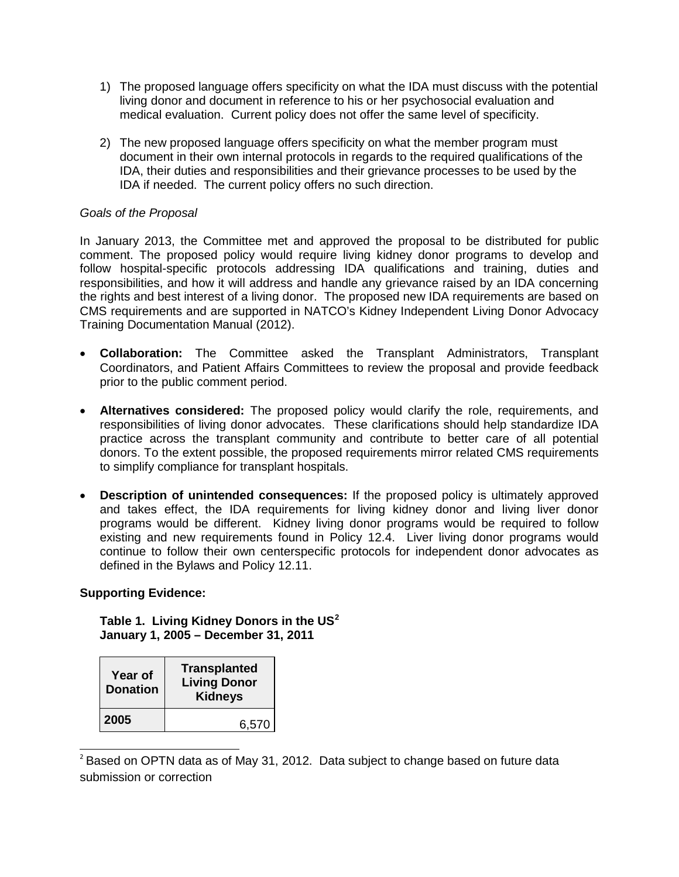- 1) The proposed language offers specificity on what the IDA must discuss with the potential living donor and document in reference to his or her psychosocial evaluation and medical evaluation. Current policy does not offer the same level of specificity.
- 2) The new proposed language offers specificity on what the member program must document in their own internal protocols in regards to the required qualifications of the IDA, their duties and responsibilities and their grievance processes to be used by the IDA if needed. The current policy offers no such direction.

# *Goals of the Proposal*

In January 2013, the Committee met and approved the proposal to be distributed for public comment. The proposed policy would require living kidney donor programs to develop and follow hospital-specific protocols addressing IDA qualifications and training, duties and responsibilities, and how it will address and handle any grievance raised by an IDA concerning the rights and best interest of a living donor. The proposed new IDA requirements are based on CMS requirements and are supported in NATCO's Kidney Independent Living Donor Advocacy Training Documentation Manual (2012).

- **Collaboration:** The Committee asked the Transplant Administrators, Transplant Coordinators, and Patient Affairs Committees to review the proposal and provide feedback prior to the public comment period.
- **Alternatives considered:** The proposed policy would clarify the role, requirements, and responsibilities of living donor advocates. These clarifications should help standardize IDA practice across the transplant community and contribute to better care of all potential donors. To the extent possible, the proposed requirements mirror related CMS requirements to simplify compliance for transplant hospitals.
- **Description of unintended consequences:** If the proposed policy is ultimately approved and takes effect, the IDA requirements for living kidney donor and living liver donor programs would be different. Kidney living donor programs would be required to follow existing and new requirements found in Policy 12.4. Liver living donor programs would continue to follow their own centerspecific protocols for independent donor advocates as defined in the Bylaws and Policy 12.11.

# **Supporting Evidence:**

**Table 1. Living Kidney Donors in the US[2](#page-3-0) January 1, 2005 – December 31, 2011**

| Year of<br><b>Donation</b> | <b>Transplanted</b><br><b>Living Donor</b><br><b>Kidneys</b> |
|----------------------------|--------------------------------------------------------------|
| 2005                       | 6,570                                                        |

<span id="page-3-0"></span> $\overline{a}$  $2^2$  Based on OPTN data as of May 31, 2012. Data subject to change based on future data submission or correction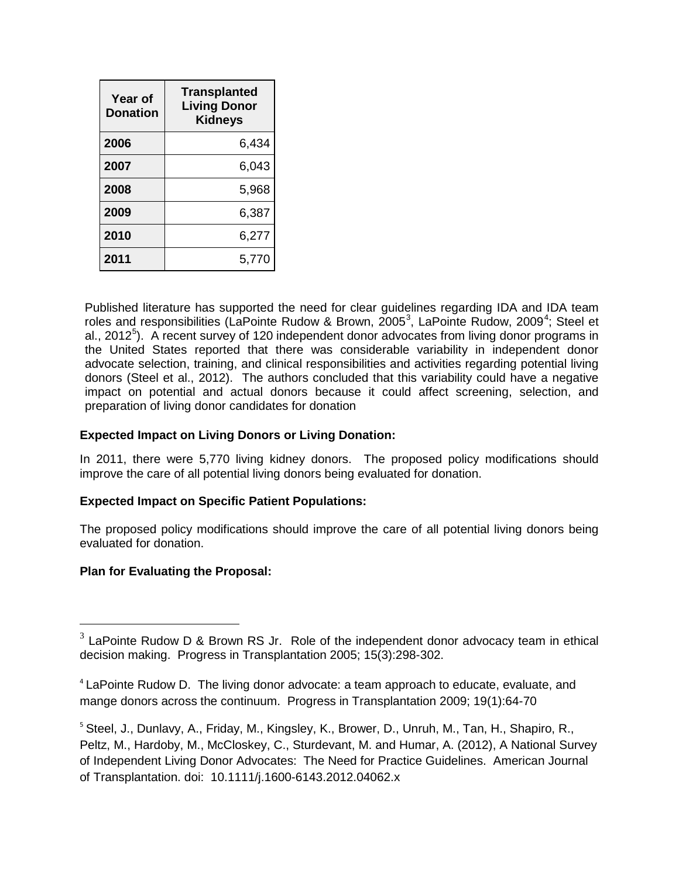| <b>Year of</b><br>Donation | <b>Transplanted</b><br><b>Living Donor</b><br><b>Kidneys</b> |
|----------------------------|--------------------------------------------------------------|
| 2006                       | 6.434                                                        |
| 2007                       | 6,043                                                        |
| 2008                       | 5,968                                                        |
| 2009                       | 6,387                                                        |
| 2010                       | 6,277                                                        |
| 2011                       | 5.770                                                        |

Published literature has supported the need for clear guidelines regarding IDA and IDA team roles and responsibilities (LaPointe Rudow & Brown, 2005<sup>[3](#page-4-0)</sup>, LaPointe Rudow, 2009<sup>[4](#page-4-1)</sup>; Steel et al., 2012<sup>[5](#page-4-2)</sup>). A recent survey of 120 independent donor advocates from living donor programs in the United States reported that there was considerable variability in independent donor advocate selection, training, and clinical responsibilities and activities regarding potential living donors (Steel et al., 2012). The authors concluded that this variability could have a negative impact on potential and actual donors because it could affect screening, selection, and preparation of living donor candidates for donation

# **Expected Impact on Living Donors or Living Donation:**

In 2011, there were 5,770 living kidney donors. The proposed policy modifications should improve the care of all potential living donors being evaluated for donation.

# **Expected Impact on Specific Patient Populations:**

The proposed policy modifications should improve the care of all potential living donors being evaluated for donation.

# **Plan for Evaluating the Proposal:**

 $\overline{a}$ 

<span id="page-4-0"></span> $3$  LaPointe Rudow D & Brown RS Jr. Role of the independent donor advocacy team in ethical decision making. Progress in Transplantation 2005; 15(3):298-302.

<span id="page-4-1"></span><sup>&</sup>lt;sup>4</sup> LaPointe Rudow D. The living donor advocate: a team approach to educate, evaluate, and mange donors across the continuum. Progress in Transplantation 2009; 19(1):64-70

<span id="page-4-2"></span><sup>&</sup>lt;sup>5</sup> Steel, J., Dunlavy, A., Friday, M., Kingsley, K., Brower, D., Unruh, M., Tan, H., Shapiro, R., Peltz, M., Hardoby, M., McCloskey, C., Sturdevant, M. and Humar, A. (2012), A National Survey of Independent Living Donor Advocates: The Need for Practice Guidelines. American Journal of Transplantation. doi: 10.1111/j.1600-6143.2012.04062.x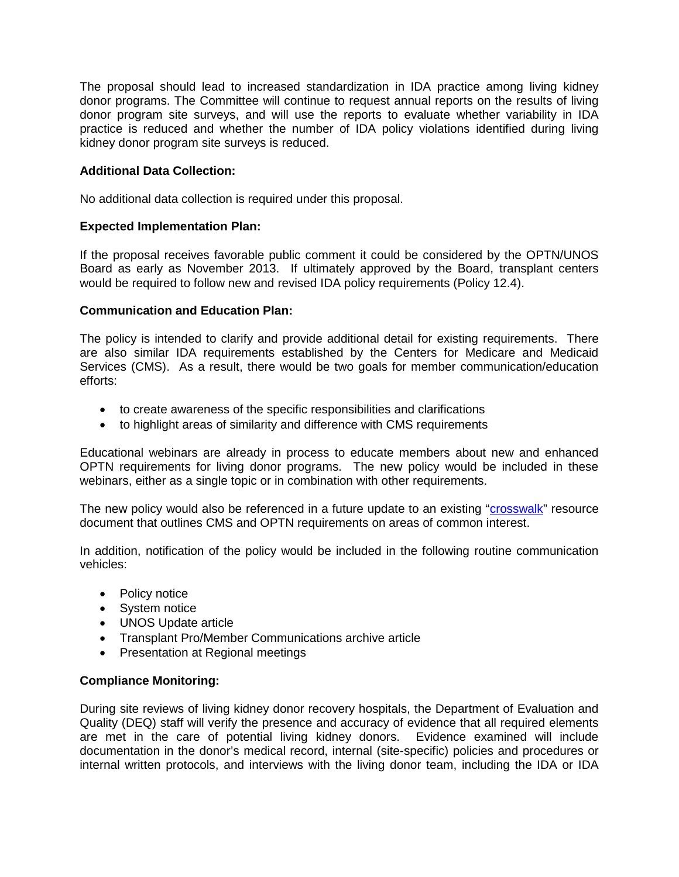The proposal should lead to increased standardization in IDA practice among living kidney donor programs. The Committee will continue to request annual reports on the results of living donor program site surveys, and will use the reports to evaluate whether variability in IDA practice is reduced and whether the number of IDA policy violations identified during living kidney donor program site surveys is reduced.

# **Additional Data Collection:**

No additional data collection is required under this proposal.

## **Expected Implementation Plan:**

If the proposal receives favorable public comment it could be considered by the OPTN/UNOS Board as early as November 2013. If ultimately approved by the Board, transplant centers would be required to follow new and revised IDA policy requirements (Policy 12.4).

## **Communication and Education Plan:**

The policy is intended to clarify and provide additional detail for existing requirements. There are also similar IDA requirements established by the Centers for Medicare and Medicaid Services (CMS). As a result, there would be two goals for member communication/education efforts:

- to create awareness of the specific responsibilities and clarifications
- to highlight areas of similarity and difference with CMS requirements

Educational webinars are already in process to educate members about new and enhanced OPTN requirements for living donor programs. The new policy would be included in these webinars, either as a single topic or in combination with other requirements.

The new policy would also be referenced in a future update to an existing ["crosswalk"](http://optn.transplant.hrsa.gov/content/policiesAndBylaws/evaluation_plan.asp) resource document that outlines CMS and OPTN requirements on areas of common interest.

In addition, notification of the policy would be included in the following routine communication vehicles:

- Policy notice
- System notice
- UNOS Update article
- Transplant Pro/Member Communications archive article
- Presentation at Regional meetings

#### **Compliance Monitoring:**

During site reviews of living kidney donor recovery hospitals, the Department of Evaluation and Quality (DEQ) staff will verify the presence and accuracy of evidence that all required elements are met in the care of potential living kidney donors. Evidence examined will include documentation in the donor's medical record, internal (site-specific) policies and procedures or internal written protocols, and interviews with the living donor team, including the IDA or IDA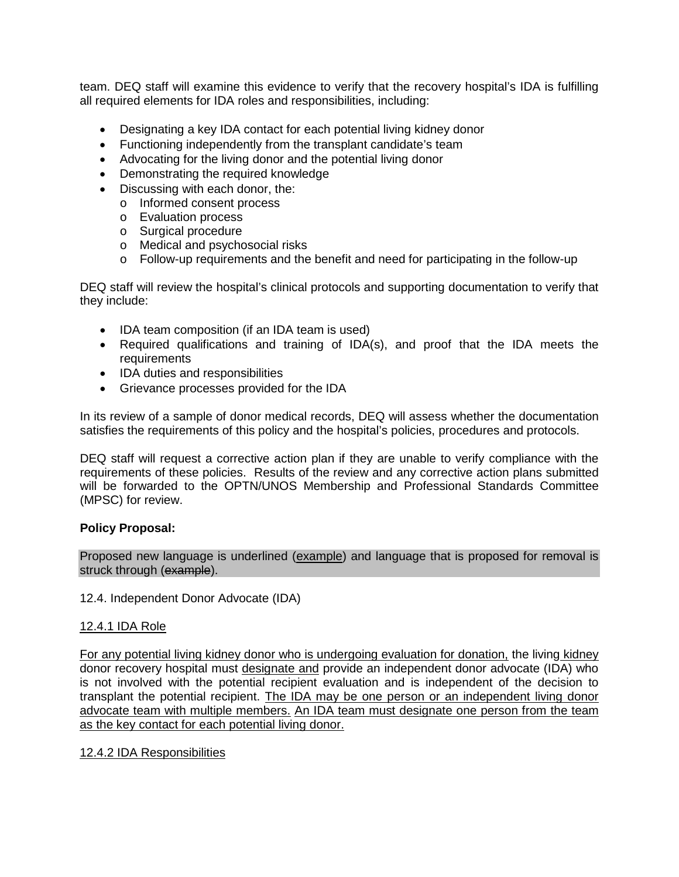team. DEQ staff will examine this evidence to verify that the recovery hospital's IDA is fulfilling all required elements for IDA roles and responsibilities, including:

- Designating a key IDA contact for each potential living kidney donor
- Functioning independently from the transplant candidate's team
- Advocating for the living donor and the potential living donor
- Demonstrating the required knowledge
- Discussing with each donor, the:
	- o Informed consent process
	- o Evaluation process
	- o Surgical procedure
	- o Medical and psychosocial risks
	- $\circ$  Follow-up requirements and the benefit and need for participating in the follow-up

DEQ staff will review the hospital's clinical protocols and supporting documentation to verify that they include:

- IDA team composition (if an IDA team is used)
- Required qualifications and training of IDA(s), and proof that the IDA meets the requirements
- IDA duties and responsibilities
- Grievance processes provided for the IDA

In its review of a sample of donor medical records, DEQ will assess whether the documentation satisfies the requirements of this policy and the hospital's policies, procedures and protocols.

DEQ staff will request a corrective action plan if they are unable to verify compliance with the requirements of these policies. Results of the review and any corrective action plans submitted will be forwarded to the OPTN/UNOS Membership and Professional Standards Committee (MPSC) for review.

#### **Policy Proposal:**

Proposed new language is underlined (example) and language that is proposed for removal is struck through (example).

12.4. Independent Donor Advocate (IDA)

# 12.4.1 IDA Role

For any potential living kidney donor who is undergoing evaluation for donation, the living kidney donor recovery hospital must designate and provide an independent donor advocate (IDA) who is not involved with the potential recipient evaluation and is independent of the decision to transplant the potential recipient. The IDA may be one person or an independent living donor advocate team with multiple members. An IDA team must designate one person from the team as the key contact for each potential living donor.

#### 12.4.2 IDA Responsibilities